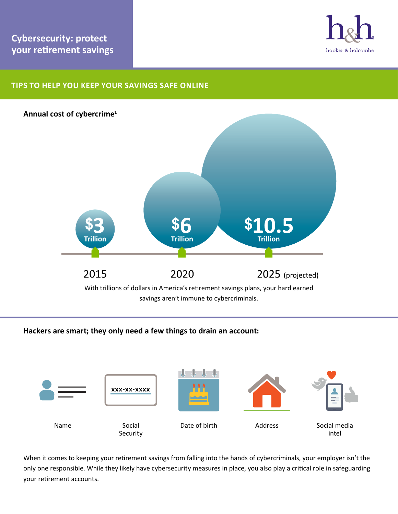

# **Tips to help you keep your savings safe online**



## **Hackers are smart; they only need a few things to drain an account:**



When it comes to keeping your retirement savings from falling into the hands of cybercriminals, your employer isn't the only one responsible. While they likely have cybersecurity measures in place, you also play a critical role in safeguarding your retirement accounts.